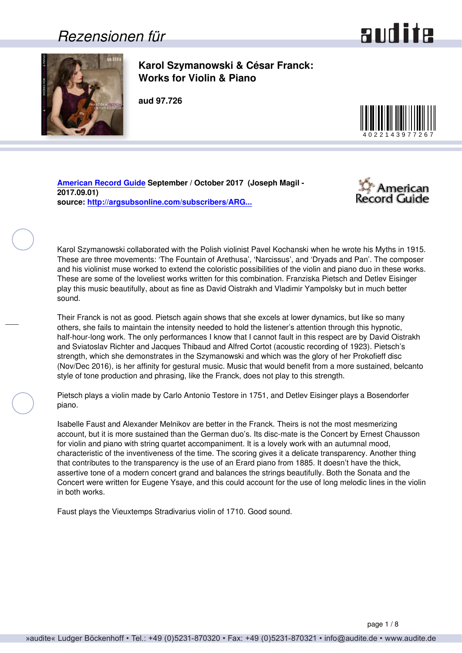### *Rezensionen für*



<span id="page-0-0"></span>

**Karol Szymanowski & César Franck: Works for Violin & Piano**

**aud 97.726**



**[American Record Guide](http://www.americanrecordguide.com) September / October 2017 (Joseph Magil - 2017.09.01) source: [http://argsubsonline.com/subscribers/ARG...](http://argsubsonline.com/subscribers/ARG1709.pdf)**



Karol Szymanowski collaborated with the Polish violinist Pavel Kochanski when he wrote his Myths in 1915. These are three movements: 'The Fountain of Arethusa', 'Narcissus', and 'Dryads and Pan'. The composer and his violinist muse worked to extend the coloristic possibilities of the violin and piano duo in these works. These are some of the loveliest works written for this combination. Franziska Pietsch and Detlev Eisinger play this music beautifully, about as fine as David Oistrakh and Vladimir Yampolsky but in much better sound.

Their Franck is not as good. Pietsch again shows that she excels at lower dynamics, but like so many others, she fails to maintain the intensity needed to hold the listener's attention through this hypnotic, half-hour-long work. The only performances I know that I cannot fault in this respect are by David Oistrakh and Sviatoslav Richter and Jacques Thibaud and Alfred Cortot (acoustic recording of 1923). Pietsch's strength, which she demonstrates in the Szymanowski and which was the glory of her Prokofieff disc (Nov/Dec 2016), is her affinity for gestural music. Music that would benefit from a more sustained, belcanto style of tone production and phrasing, like the Franck, does not play to this strength.

Pietsch plays a violin made by Carlo Antonio Testore in 1751, and Detlev Eisinger plays a Bosendorfer piano.

Isabelle Faust and Alexander Melnikov are better in the Franck. Theirs is not the most mesmerizing account, but it is more sustained than the German duo's. Its disc-mate is the Concert by Ernest Chausson for violin and piano with string quartet accompaniment. It is a lovely work with an autumnal mood, characteristic of the inventiveness of the time. The scoring gives it a delicate transparency. Another thing that contributes to the transparency is the use of an Erard piano from 1885. It doesn't have the thick, assertive tone of a modern concert grand and balances the strings beautifully. Both the Sonata and the Concert were written for Eugene Ysaye, and this could account for the use of long melodic lines in the violin in both works.

Faust plays the Vieuxtemps Stradivarius violin of 1710. Good sound.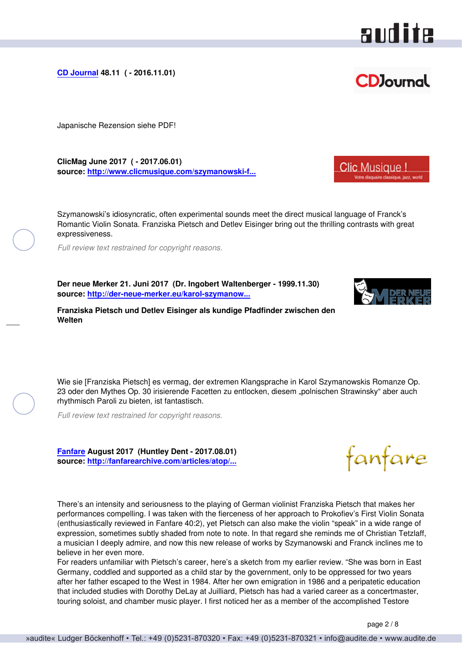<span id="page-1-0"></span>**[CD Journal](http://www.cdjournal.com) 48.11 ( - 2016.11.01)**

Japanische Rezension siehe PDF!

**ClicMag June 2017 ( - 2017.06.01) source: [http://www.clicmusique.com/szymanowski-f...](http://www.clicmusique.com/szymanowski-franck-oeuvres-pour-violon-piano-pietsch-eisinger-p-98171.html)**

Szymanowski's idiosyncratic, often experimental sounds meet the direct musical language of Franck's Romantic Violin Sonata. Franziska Pietsch and Detlev Eisinger bring out the thrilling contrasts with great expressiveness.

*Full review text restrained for copyright reasons.*

**Der neue Merker 21. Juni 2017 (Dr. Ingobert Waltenberger - 1999.11.30) source: [http://der-neue-merker.eu/karol-szymanow...](http://der-neue-merker.eu/karol-szymanowski-cesar-franck-werke-fuer-violine-und-klavier/print)**

**Franziska Pietsch und Detlev Eisinger als kundige Pfadfinder zwischen den Welten**

Wie sie [Franziska Pietsch] es vermag, der extremen Klangsprache in Karol Szymanowskis Romanze Op. 23 oder den Mythes Op. 30 irisierende Facetten zu entlocken, diesem "polnischen Strawinsky" aber auch rhythmisch Paroli zu bieten, ist fantastisch.

*Full review text restrained for copyright reasons.*

**[Fanfare](http://www.fanfaremag.com/) August 2017 (Huntley Dent - 2017.08.01) source: [http://fanfarearchive.com/articles/atop/...](http://fanfarearchive.com/articles/atop/41_1/4113720.az_SZYMANOWSKI_Mythes_30_Romance.html)**

There's an intensity and seriousness to the playing of German violinist Franziska Pietsch that makes her performances compelling. I was taken with the fierceness of her approach to Prokofiev's First Violin Sonata (enthusiastically reviewed in Fanfare 40:2), yet Pietsch can also make the violin "speak" in a wide range of expression, sometimes subtly shaded from note to note. In that regard she reminds me of Christian Tetzlaff, a musician I deeply admire, and now this new release of works by Szymanowski and Franck inclines me to believe in her even more.

For readers unfamiliar with Pietsch's career, here's a sketch from my earlier review. "She was born in East Germany, coddled and supported as a child star by the government, only to be oppressed for two years after her father escaped to the West in 1984. After her own emigration in 1986 and a peripatetic education that included studies with Dorothy DeLay at Juilliard, Pietsch has had a varied career as a concertmaster, touring soloist, and chamber music player. I first noticed her as a member of the accomplished Testore







**Clic Musique!** 

audite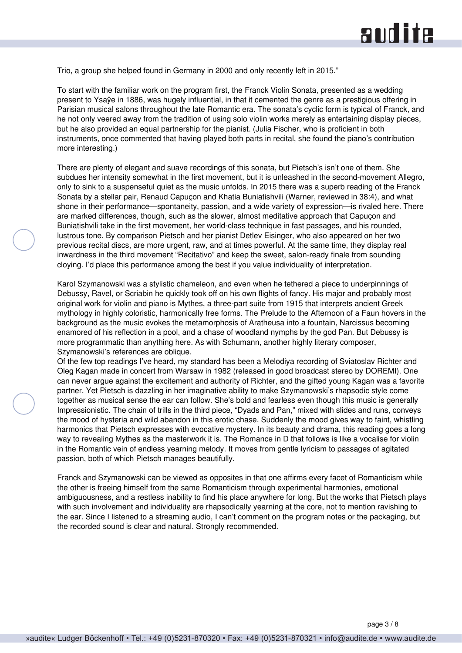Trio, a group she helped found in Germany in 2000 and only recently left in 2015."

To start with the familiar work on the program first, the Franck Violin Sonata, presented as a wedding present to Ysaÿe in 1886, was hugely influential, in that it cemented the genre as a prestigious offering in Parisian musical salons throughout the late Romantic era. The sonata's cyclic form is typical of Franck, and he not only veered away from the tradition of using solo violin works merely as entertaining display pieces, but he also provided an equal partnership for the pianist. (Julia Fischer, who is proficient in both instruments, once commented that having played both parts in recital, she found the piano's contribution more interesting.)

There are plenty of elegant and suave recordings of this sonata, but Pietsch's isn't one of them. She subdues her intensity somewhat in the first movement, but it is unleashed in the second-movement Allegro, only to sink to a suspenseful quiet as the music unfolds. In 2015 there was a superb reading of the Franck Sonata by a stellar pair, Renaud Capuçon and Khatia Buniatishvili (Warner, reviewed in 38:4), and what shone in their performance—spontaneity, passion, and a wide variety of expression—is rivaled here. There are marked differences, though, such as the slower, almost meditative approach that Capuçon and Buniatishvili take in the first movement, her world-class technique in fast passages, and his rounded, lustrous tone. By comparison Pietsch and her pianist Detlev Eisinger, who also appeared on her two previous recital discs, are more urgent, raw, and at times powerful. At the same time, they display real inwardness in the third movement "Recitativo" and keep the sweet, salon-ready finale from sounding cloying. I'd place this performance among the best if you value individuality of interpretation.

Karol Szymanowski was a stylistic chameleon, and even when he tethered a piece to underpinnings of Debussy, Ravel, or Scriabin he quickly took off on his own flights of fancy. His major and probably most original work for violin and piano is Mythes, a three-part suite from 1915 that interprets ancient Greek mythology in highly coloristic, harmonically free forms. The Prelude to the Afternoon of a Faun hovers in the background as the music evokes the metamorphosis of Aratheusa into a fountain, Narcissus becoming enamored of his reflection in a pool, and a chase of woodland nymphs by the god Pan. But Debussy is more programmatic than anything here. As with Schumann, another highly literary composer, Szymanowski's references are oblique.

Of the few top readings I've heard, my standard has been a Melodiya recording of Sviatoslav Richter and Oleg Kagan made in concert from Warsaw in 1982 (released in good broadcast stereo by DOREMI). One can never argue against the excitement and authority of Richter, and the gifted young Kagan was a favorite partner. Yet Pietsch is dazzling in her imaginative ability to make Szymanowski's rhapsodic style come together as musical sense the ear can follow. She's bold and fearless even though this music is generally Impressionistic. The chain of trills in the third piece, "Dyads and Pan," mixed with slides and runs, conveys the mood of hysteria and wild abandon in this erotic chase. Suddenly the mood gives way to faint, whistling harmonics that Pietsch expresses with evocative mystery. In its beauty and drama, this reading goes a long way to revealing Mythes as the masterwork it is. The Romance in D that follows is like a vocalise for violin in the Romantic vein of endless yearning melody. It moves from gentle lyricism to passages of agitated passion, both of which Pietsch manages beautifully.

Franck and Szymanowski can be viewed as opposites in that one affirms every facet of Romanticism while the other is freeing himself from the same Romanticism through experimental harmonies, emotional ambiguousness, and a restless inability to find his place anywhere for long. But the works that Pietsch plays with such involvement and individuality are rhapsodically yearning at the core, not to mention ravishing to the ear. Since I listened to a streaming audio, I can't comment on the program notes or the packaging, but the recorded sound is clear and natural. Strongly recommended.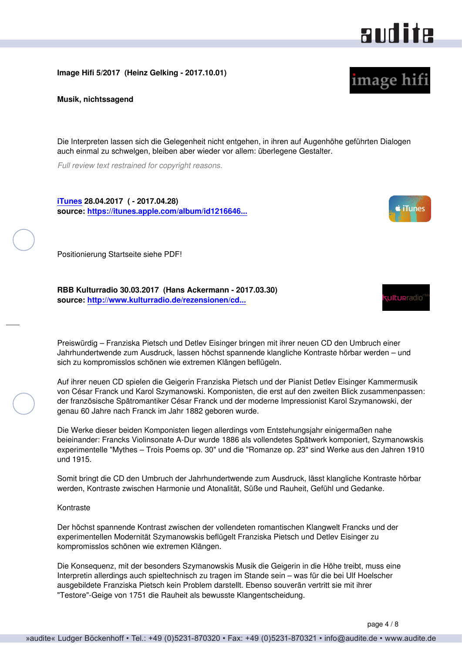#### <span id="page-3-0"></span>**Image Hifi 5/2017 (Heinz Gelking - 2017.10.01)**

**Musik, nichtssagend**

Die Interpreten lassen sich die Gelegenheit nicht entgehen, in ihren auf Augenhöhe geführten Dialogen auch einmal zu schwelgen, bleiben aber wieder vor allem: überlegene Gestalter.

*Full review text restrained for copyright reasons.*

**[iTunes](http://www.apple.com/de/itunes/) 28.04.2017 ( - 2017.04.28) source: [https://itunes.apple.com/album/id1216646...](https://itunes.apple.com/album/id1216646597?app=itunes)**

Positionierung Startseite siehe PDF!

**RBB Kulturradio 30.03.2017 (Hans Ackermann - 2017.03.30) source: [http://www.kulturradio.de/rezensionen/cd...](http://www.kulturradio.de/rezensionen/cd/2017/03/Syzmanowski-Franck.html)**

Preiswürdig – Franziska Pietsch und Detlev Eisinger bringen mit ihrer neuen CD den Umbruch einer Jahrhundertwende zum Ausdruck, lassen höchst spannende klangliche Kontraste hörbar werden – und sich zu kompromisslos schönen wie extremen Klängen beflügeln.

Auf ihrer neuen CD spielen die Geigerin Franziska Pietsch und der Pianist Detlev Eisinger Kammermusik von César Franck und Karol Szymanowski. Komponisten, die erst auf den zweiten Blick zusammenpassen: der französische Spätromantiker César Franck und der moderne Impressionist Karol Szymanowski, der genau 60 Jahre nach Franck im Jahr 1882 geboren wurde.

Die Werke dieser beiden Komponisten liegen allerdings vom Entstehungsjahr einigermaßen nahe beieinander: Francks Violinsonate A-Dur wurde 1886 als vollendetes Spätwerk komponiert, Szymanowskis experimentelle "Mythes – Trois Poems op. 30" und die "Romanze op. 23" sind Werke aus den Jahren 1910 und 1915.

Somit bringt die CD den Umbruch der Jahrhundertwende zum Ausdruck, lässt klangliche Kontraste hörbar werden, Kontraste zwischen Harmonie und Atonalität, Süße und Rauheit, Gefühl und Gedanke.

#### Kontraste

Der höchst spannende Kontrast zwischen der vollendeten romantischen Klangwelt Francks und der experimentellen Modernität Szymanowskis beflügelt Franziska Pietsch und Detlev Eisinger zu kompromisslos schönen wie extremen Klängen.

Die Konsequenz, mit der besonders Szymanowskis Musik die Geigerin in die Höhe treibt, muss eine Interpretin allerdings auch spieltechnisch zu tragen im Stande sein – was für die bei Ulf Hoelscher ausgebildete Franziska Pietsch kein Problem darstellt. Ebenso souverän vertritt sie mit ihrer "Testore"-Geige von 1751 die Rauheit als bewusste Klangentscheidung.



image hifi



**Ulturradio**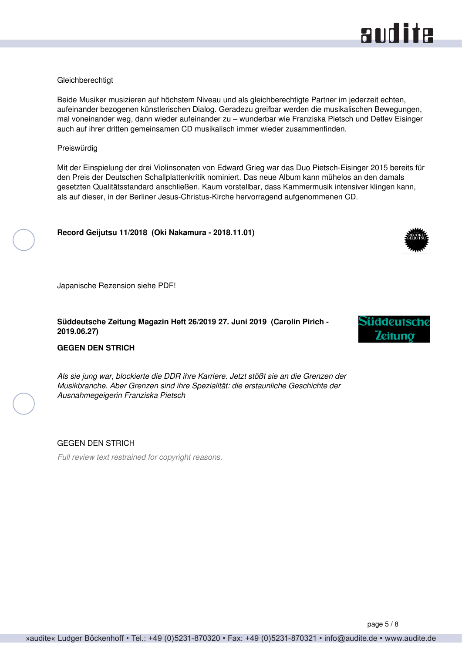## audite

#### <span id="page-4-0"></span>**Gleichberechtigt**

Beide Musiker musizieren auf höchstem Niveau und als gleichberechtigte Partner im jederzeit echten, aufeinander bezogenen künstlerischen Dialog. Geradezu greifbar werden die musikalischen Bewegungen, mal voneinander weg, dann wieder aufeinander zu – wunderbar wie Franziska Pietsch und Detlev Eisinger auch auf ihrer dritten gemeinsamen CD musikalisch immer wieder zusammenfinden.

#### Preiswürdig

Mit der Einspielung der drei Violinsonaten von Edward Grieg war das Duo Pietsch-Eisinger 2015 bereits für den Preis der Deutschen Schallplattenkritik nominiert. Das neue Album kann mühelos an den damals gesetzten Qualitätsstandard anschließen. Kaum vorstellbar, dass Kammermusik intensiver klingen kann, als auf dieser, in der Berliner Jesus-Christus-Kirche hervorragend aufgenommenen CD.

#### **Record Geijutsu 11/2018 (Oki Nakamura - 2018.11.01)**

Japanische Rezension siehe PDF!

#### **Süddeutsche Zeitung Magazin Heft 26/2019 27. Juni 2019 (Carolin Pirich - 2019.06.27)**

#### **GEGEN DEN STRICH**

*Als sie jung war, blockierte die DDR ihre Karriere. Jetzt stößt sie an die Grenzen der Musikbranche. Aber Grenzen sind ihre Spezialität: die erstaunliche Geschichte der Ausnahmegeigerin Franziska Pietsch*

#### GEGEN DEN STRICH

*Full review text restrained for copyright reasons.*

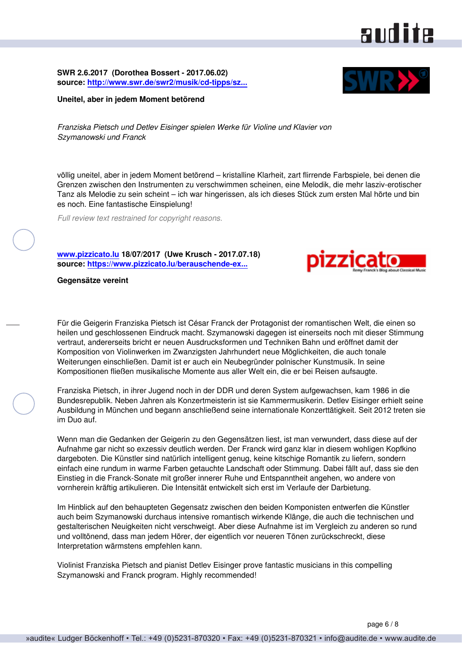<span id="page-5-0"></span>**SWR 2.6.2017 (Dorothea Bossert - 2017.06.02) source: [http://www.swr.de/swr2/musik/cd-tipps/sz...](http://www.swr.de/swr2/musik/cd-tipps/szymanowski-franck-werke-fuer-violine-und-klavier-pietsch-eisinger/-/id=12628344/did=19641)**

#### **Uneitel, aber in jedem Moment betörend**

*Franziska Pietsch und Detlev Eisinger spielen Werke für Violine und Klavier von Szymanowski und Franck*

völlig uneitel, aber in jedem Moment betörend – kristalline Klarheit, zart flirrende Farbspiele, bei denen die Grenzen zwischen den Instrumenten zu verschwimmen scheinen, eine Melodik, die mehr lasziv-erotischer Tanz als Melodie zu sein scheint – ich war hingerissen, als ich dieses Stück zum ersten Mal hörte und bin es noch. Eine fantastische Einspielung!

*Full review text restrained for copyright reasons.*

**[www.pizzicato.lu](http://www.pizzicato.lu) 18/07/2017 (Uwe Krusch - 2017.07.18) source: [https://www.pizzicato.lu/berauschende-ex...](https://www.pizzicato.lu/berauschende-expressivitat/)**

**Gegensätze vereint**

Für die Geigerin Franziska Pietsch ist César Franck der Protagonist der romantischen Welt, die einen so heilen und geschlossenen Eindruck macht. Szymanowski dagegen ist einerseits noch mit dieser Stimmung vertraut, andererseits bricht er neuen Ausdrucksformen und Techniken Bahn und eröffnet damit der Komposition von Violinwerken im Zwanzigsten Jahrhundert neue Möglichkeiten, die auch tonale Weiterungen einschließen. Damit ist er auch ein Neubegründer polnischer Kunstmusik. In seine Kompositionen fließen musikalische Momente aus aller Welt ein, die er bei Reisen aufsaugte.

Franziska Pietsch, in ihrer Jugend noch in der DDR und deren System aufgewachsen, kam 1986 in die Bundesrepublik. Neben Jahren als Konzertmeisterin ist sie Kammermusikerin. Detlev Eisinger erhielt seine Ausbildung in München und begann anschließend seine internationale Konzerttätigkeit. Seit 2012 treten sie im Duo auf.

Wenn man die Gedanken der Geigerin zu den Gegensätzen liest, ist man verwundert, dass diese auf der Aufnahme gar nicht so exzessiv deutlich werden. Der Franck wird ganz klar in diesem wohligen Kopfkino dargeboten. Die Künstler sind natürlich intelligent genug, keine kitschige Romantik zu liefern, sondern einfach eine rundum in warme Farben getauchte Landschaft oder Stimmung. Dabei fällt auf, dass sie den Einstieg in die Franck-Sonate mit großer innerer Ruhe und Entspanntheit angehen, wo andere von vornherein kräftig artikulieren. Die Intensität entwickelt sich erst im Verlaufe der Darbietung.

Im Hinblick auf den behaupteten Gegensatz zwischen den beiden Komponisten entwerfen die Künstler auch beim Szymanowski durchaus intensive romantisch wirkende Klänge, die auch die technischen und gestalterischen Neuigkeiten nicht verschweigt. Aber diese Aufnahme ist im Vergleich zu anderen so rund und volltönend, dass man jedem Hörer, der eigentlich vor neueren Tönen zurückschreckt, diese Interpretation wärmstens empfehlen kann.

Violinist Franziska Pietsch and pianist Detlev Eisinger prove fantastic musicians in this compelling Szymanowski and Franck program. Highly recommended!

### audite

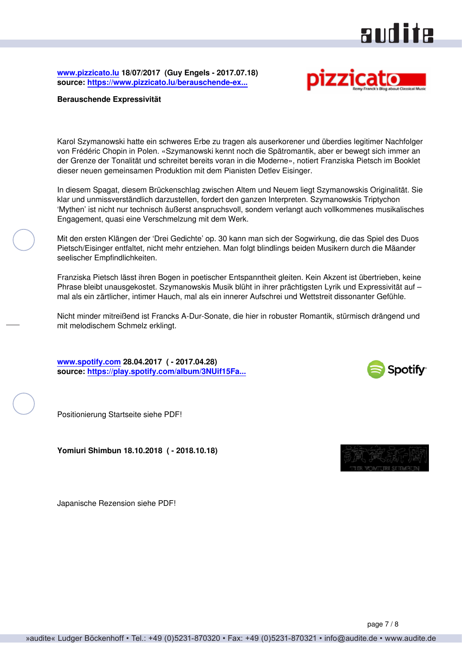### audite

<span id="page-6-0"></span>**[www.pizzicato.lu](http://www.pizzicato.lu) 18/07/2017 (Guy Engels - 2017.07.18) source: [https://www.pizzicato.lu/berauschende-ex...](https://www.pizzicato.lu/berauschende-expressivitat/)**



#### **Berauschende Expressivität**

Karol Szymanowski hatte ein schweres Erbe zu tragen als auserkorener und überdies legitimer Nachfolger von Frédéric Chopin in Polen. «Szymanowski kennt noch die Spätromantik, aber er bewegt sich immer an der Grenze der Tonalität und schreitet bereits voran in die Moderne», notiert Franziska Pietsch im Booklet dieser neuen gemeinsamen Produktion mit dem Pianisten Detlev Eisinger.

In diesem Spagat, diesem Brückenschlag zwischen Altem und Neuem liegt Szymanowskis Originalität. Sie klar und unmissverständlich darzustellen, fordert den ganzen Interpreten. Szymanowskis Triptychon 'Mythen' ist nicht nur technisch äußerst anspruchsvoll, sondern verlangt auch vollkommenes musikalisches Engagement, quasi eine Verschmelzung mit dem Werk.

Mit den ersten Klängen der 'Drei Gedichte' op. 30 kann man sich der Sogwirkung, die das Spiel des Duos Pietsch/Eisinger entfaltet, nicht mehr entziehen. Man folgt blindlings beiden Musikern durch die Mäander seelischer Empfindlichkeiten.

Franziska Pietsch lässt ihren Bogen in poetischer Entspanntheit gleiten. Kein Akzent ist übertrieben, keine Phrase bleibt unausgekostet. Szymanowskis Musik blüht in ihrer prächtigsten Lyrik und Expressivität auf – mal als ein zärtlicher, intimer Hauch, mal als ein innerer Aufschrei und Wettstreit dissonanter Gefühle.

Nicht minder mitreißend ist Francks A-Dur-Sonate, die hier in robuster Romantik, stürmisch drängend und mit melodischem Schmelz erklingt.

**[www.spotify.com](https://www.spotify.com) 28.04.2017 ( - 2017.04.28) source: [https://play.spotify.com/album/3NUif15Fa...](https://play.spotify.com/album/3NUif15Faau2OKutrid5fN?play=true&utm_source=open.spotify.com&utm_medium=open)**



Positionierung Startseite siehe PDF!

**Yomiuri Shimbun 18.10.2018 ( - 2018.10.18)**



Japanische Rezension siehe PDF!